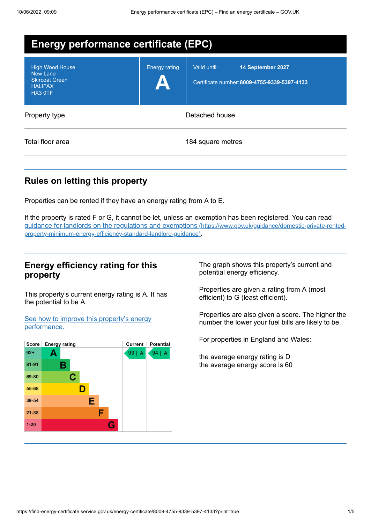| <b>Energy performance certificate (EPC)</b>                                                     |                      |                                                                                   |  |
|-------------------------------------------------------------------------------------------------|----------------------|-----------------------------------------------------------------------------------|--|
| <b>High Wood House</b><br><b>New Lane</b><br><b>Skircoat Green</b><br><b>HALIFAX</b><br>HX3 OTF | <b>Energy rating</b> | Valid until:<br>14 September 2027<br>Certificate number: 8009-4755-9339-5397-4133 |  |
| Property type                                                                                   | Detached house       |                                                                                   |  |
| Total floor area                                                                                |                      | 184 square metres                                                                 |  |

# **Rules on letting this property**

Properties can be rented if they have an energy rating from A to E.

If the property is rated F or G, it cannot be let, unless an exemption has been registered. You can read guidance for landlords on the regulations and exemptions (https://www.gov.uk/guidance/domestic-private-rented[property-minimum-energy-efficiency-standard-landlord-guidance\)](https://www.gov.uk/guidance/domestic-private-rented-property-minimum-energy-efficiency-standard-landlord-guidance).

## **Energy efficiency rating for this property**

This property's current energy rating is A. It has the potential to be A.

See how to improve this property's energy [performance.](#page-2-0)

| <b>Score</b> | <b>Energy rating</b> | <b>Current</b><br><b>Potential</b>              |  |
|--------------|----------------------|-------------------------------------------------|--|
| $92+$        | Α                    | 93 <br>94  <br>$\overline{A}$<br>$\overline{A}$ |  |
| 81-91        | Β                    |                                                 |  |
| 69-80        | C                    |                                                 |  |
| 55-68        | D                    |                                                 |  |
| 39-54        | Е                    |                                                 |  |
| $21 - 38$    | F                    |                                                 |  |
| $1 - 20$     |                      | G                                               |  |

The graph shows this property's current and potential energy efficiency.

Properties are given a rating from A (most efficient) to G (least efficient).

Properties are also given a score. The higher the number the lower your fuel bills are likely to be.

For properties in England and Wales:

the average energy rating is D the average energy score is 60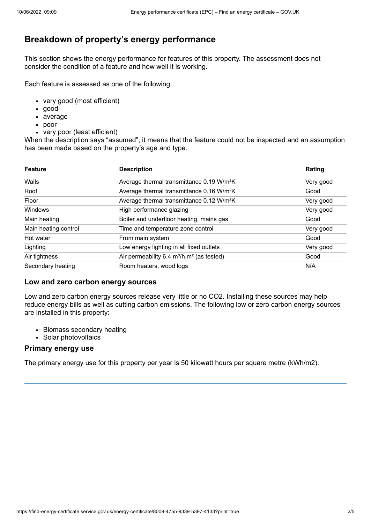# **Breakdown of property's energy performance**

This section shows the energy performance for features of this property. The assessment does not consider the condition of a feature and how well it is working.

Each feature is assessed as one of the following:

- very good (most efficient)
- good
- average
- poor
- very poor (least efficient)

When the description says "assumed", it means that the feature could not be inspected and an assumption has been made based on the property's age and type.

| <b>Feature</b>       | <b>Description</b>                                                | Rating    |
|----------------------|-------------------------------------------------------------------|-----------|
| Walls                | Average thermal transmittance 0.19 W/m <sup>2</sup> K             | Very good |
| Roof                 | Average thermal transmittance 0.16 W/m <sup>2</sup> K             | Good      |
| Floor                | Average thermal transmittance 0.12 W/m <sup>2</sup> K             | Very good |
| Windows              | High performance glazing                                          | Very good |
| Main heating         | Boiler and underfloor heating, mains gas                          | Good      |
| Main heating control | Time and temperature zone control                                 | Very good |
| Hot water            | From main system                                                  | Good      |
| Lighting             | Low energy lighting in all fixed outlets                          | Very good |
| Air tightness        | Air permeability 6.4 m <sup>3</sup> /h.m <sup>2</sup> (as tested) | Good      |
| Secondary heating    | Room heaters, wood logs                                           | N/A       |

#### **Low and zero carbon energy sources**

Low and zero carbon energy sources release very little or no CO2. Installing these sources may help reduce energy bills as well as cutting carbon emissions. The following low or zero carbon energy sources are installed in this property:

- Biomass secondary heating
- Solar photovoltaics

#### **Primary energy use**

The primary energy use for this property per year is 50 kilowatt hours per square metre (kWh/m2).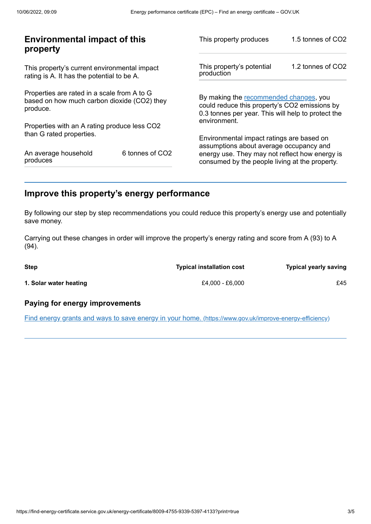| <b>Environmental impact of this</b><br>property                                                        |  | This property produces                                                                                                                        | 1.5 tonnes of CO2 |
|--------------------------------------------------------------------------------------------------------|--|-----------------------------------------------------------------------------------------------------------------------------------------------|-------------------|
| This property's current environmental impact<br>rating is A. It has the potential to be A.             |  | This property's potential<br>production                                                                                                       | 1.2 tonnes of CO2 |
| Properties are rated in a scale from A to G<br>based on how much carbon dioxide (CO2) they<br>produce. |  | By making the recommended changes, you<br>could reduce this property's CO2 emissions by<br>0.3 tonnes per year. This will help to protect the |                   |
| Properties with an A rating produce less CO2                                                           |  | environment.                                                                                                                                  |                   |
| than G rated properties.                                                                               |  | Environmental impact ratings are based on<br>assumptions about average occupancy and                                                          |                   |
| 6 tonnes of CO2<br>An average household<br>produces                                                    |  | energy use. They may not reflect how energy is<br>consumed by the people living at the property.                                              |                   |
|                                                                                                        |  |                                                                                                                                               |                   |

# <span id="page-2-0"></span>**Improve this property's energy performance**

By following our step by step recommendations you could reduce this property's energy use and potentially save money.

Carrying out these changes in order will improve the property's energy rating and score from A (93) to A (94).

| <b>Step</b>            | <b>Typical installation cost</b> | <b>Typical yearly saving</b> |
|------------------------|----------------------------------|------------------------------|
| 1. Solar water heating | £4,000 - £6,000                  | £45                          |

### **Paying for energy improvements**

Find energy grants and ways to save energy in your home. [\(https://www.gov.uk/improve-energy-efficiency\)](https://www.gov.uk/improve-energy-efficiency)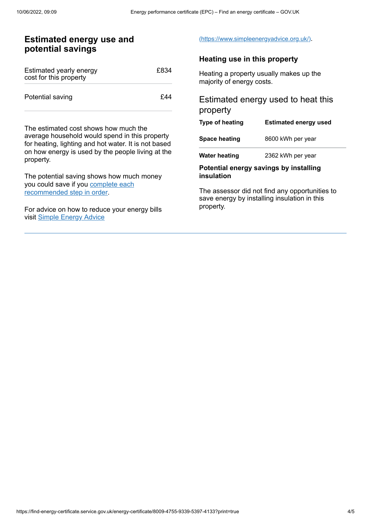## **Estimated energy use and potential savings**

| Estimated yearly energy<br>cost for this property | £834 |
|---------------------------------------------------|------|
| Potential saving                                  | £44  |

The estimated cost shows how much the average household would spend in this property for heating, lighting and hot water. It is not based on how energy is used by the people living at the property.

The potential saving shows how much money you could save if you complete each [recommended](#page-2-0) step in order.

For advice on how to reduce your energy bills visit Simple [Energy](https://www.simpleenergyadvice.org.uk/) Advice

#### [\(https://www.simpleenergyadvice.org.uk/\)](https://www.simpleenergyadvice.org.uk/).

#### **Heating use in this property**

Heating a property usually makes up the majority of energy costs.

## Estimated energy used to heat this property

| Type of heating | <b>Estimated energy used</b> |
|-----------------|------------------------------|
| Space heating   | 8600 kWh per year            |
| Water heating   | 2362 kWh per year            |

#### **Potential energy savings by installing insulation**

The assessor did not find any opportunities to save energy by installing insulation in this property.